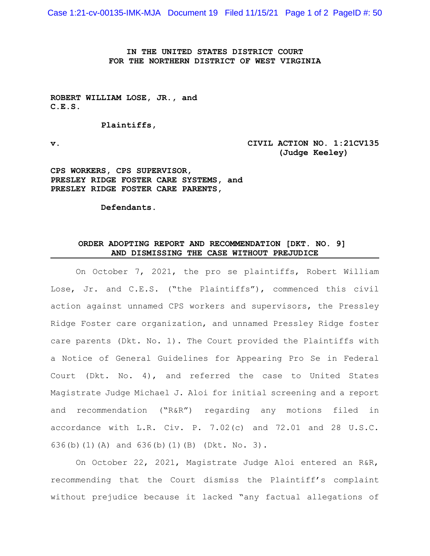Case 1:21-cv-00135-IMK-MJA Document 19 Filed 11/15/21 Page 1 of 2 PageID #: 50

**IN THE UNITED STATES DISTRICT COURT FOR THE NORTHERN DISTRICT OF WEST VIRGINIA**

**ROBERT WILLIAM LOSE, JR., and C.E.S.**

**Plaintiffs,**

**v. CIVIL ACTION NO. 1:21CV135 (Judge Keeley)**

**CPS WORKERS, CPS SUPERVISOR, PRESLEY RIDGE FOSTER CARE SYSTEMS, and PRESLEY RIDGE FOSTER CARE PARENTS,**

**Defendants.**

## **ORDER ADOPTING REPORT AND RECOMMENDATION [DKT. NO. 9] AND DISMISSING THE CASE WITHOUT PREJUDICE**

On October 7, 2021, the pro se plaintiffs, Robert William Lose, Jr. and C.E.S. ("the Plaintiffs"), commenced this civil action against unnamed CPS workers and supervisors, the Pressley Ridge Foster care organization, and unnamed Pressley Ridge foster care parents (Dkt. No. 1). The Court provided the Plaintiffs with a Notice of General Guidelines for Appearing Pro Se in Federal Court (Dkt. No. 4), and referred the case to United States Magistrate Judge Michael J. Aloi for initial screening and a report and recommendation ("R&R") regarding any motions filed in accordance with L.R. Civ. P. 7.02(c) and 72.01 and 28 U.S.C. 636(b)(1)(A) and 636(b)(1)(B) (Dkt. No. 3).

On October 22, 2021, Magistrate Judge Aloi entered an R&R, recommending that the Court dismiss the Plaintiff's complaint without prejudice because it lacked "any factual allegations of